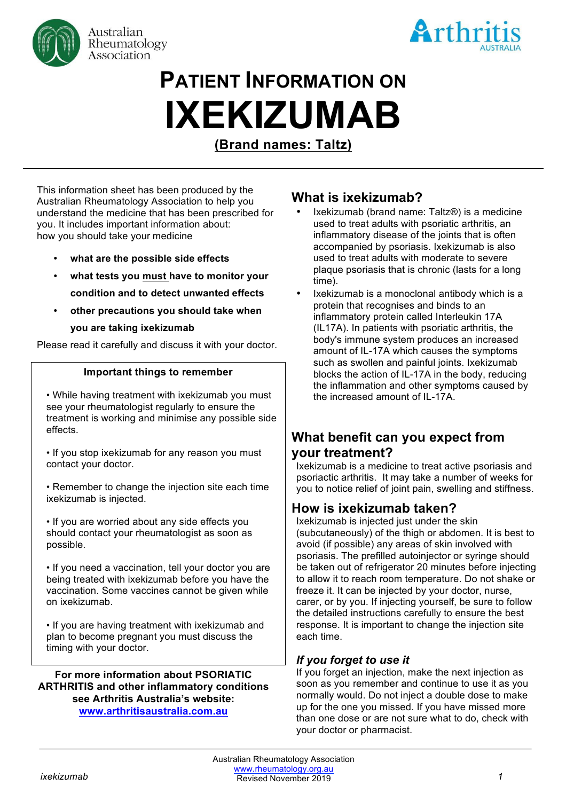



# **PATIENT INFORMATION ON IXEKIZUMAB**

**(Brand names: Taltz)**

This information sheet has been produced by the Australian Rheumatology Association to help you understand the medicine that has been prescribed for you. It includes important information about: how you should take your medicine

- **what are the possible side effects**
- **what tests you must have to monitor your condition and to detect unwanted effects**
- **other precautions you should take when you are taking ixekizumab**

Please read it carefully and discuss it with your doctor.

#### **Important things to remember**

- While having treatment with ixekizumab you must see your rheumatologist regularly to ensure the treatment is working and minimise any possible side effects.
- If you stop ixekizumab for any reason you must contact your doctor.
- Remember to change the injection site each time ixekizumab is injected.

• If you are worried about any side effects you should contact your rheumatologist as soon as possible.

• If you need a vaccination, tell your doctor you are being treated with ixekizumab before you have the vaccination. Some vaccines cannot be given while on ixekizumab.

• If you are having treatment with ixekizumab and plan to become pregnant you must discuss the timing with your doctor.

**For more information about PSORIATIC ARTHRITIS and other inflammatory conditions see Arthritis Australia's website: www.arthritisaustralia.com.au**

# **What is ixekizumab?**

- Ixekizumab (brand name: Taltz®) is a medicine used to treat adults with psoriatic arthritis, an inflammatory disease of the joints that is often accompanied by psoriasis. Ixekizumab is also used to treat adults with moderate to severe plaque psoriasis that is chronic (lasts for a long time).
- Ixekizumab is a monoclonal antibody which is a protein that recognises and binds to an inflammatory protein called Interleukin 17A (IL17A). In patients with psoriatic arthritis, the body's immune system produces an increased amount of IL-17A which causes the symptoms such as swollen and painful joints. Ixekizumab blocks the action of IL-17A in the body, reducing the inflammation and other symptoms caused by the increased amount of IL-17A.

# **What benefit can you expect from your treatment?**

Ixekizumab is a medicine to treat active psoriasis and psoriactic arthritis. It may take a number of weeks for you to notice relief of joint pain, swelling and stiffness.

# **How is ixekizumab taken?**

Ixekizumab is injected just under the skin (subcutaneously) of the thigh or abdomen. It is best to avoid (if possible) any areas of skin involved with psoriasis. The prefilled autoinjector or syringe should be taken out of refrigerator 20 minutes before injecting to allow it to reach room temperature. Do not shake or freeze it. It can be injected by your doctor, nurse, carer, or by you. If injecting yourself, be sure to follow the detailed instructions carefully to ensure the best response. It is important to change the injection site each time.

## *If you forget to use it*

If you forget an injection, make the next injection as soon as you remember and continue to use it as you normally would. Do not inject a double dose to make up for the one you missed. If you have missed more than one dose or are not sure what to do, check with your doctor or pharmacist.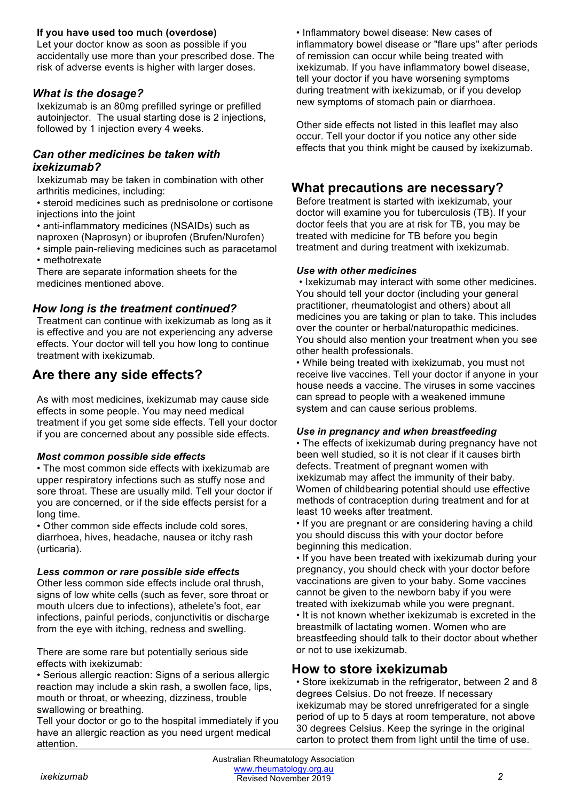## **If you have used too much (overdose)**

Let your doctor know as soon as possible if you accidentally use more than your prescribed dose. The risk of adverse events is higher with larger doses.

## *What is the dosage?*

Ixekizumab is an 80mg prefilled syringe or prefilled autoinjector. The usual starting dose is 2 injections, followed by 1 injection every 4 weeks.

### *Can other medicines be taken with ixekizumab?*

Ixekizumab may be taken in combination with other arthritis medicines, including:

• steroid medicines such as prednisolone or cortisone injections into the joint

• anti-inflammatory medicines (NSAIDs) such as

naproxen (Naprosyn) or ibuprofen (Brufen/Nurofen)

• simple pain-relieving medicines such as paracetamol • methotrexate

There are separate information sheets for the medicines mentioned above.

## *How long is the treatment continued?*

Treatment can continue with ixekizumab as long as it is effective and you are not experiencing any adverse effects. Your doctor will tell you how long to continue treatment with ixekizumab.

# **Are there any side effects?**

As with most medicines, ixekizumab may cause side effects in some people. You may need medical treatment if you get some side effects. Tell your doctor if you are concerned about any possible side effects.

#### *Most common possible side effects*

• The most common side effects with ixekizumab are upper respiratory infections such as stuffy nose and sore throat. These are usually mild. Tell your doctor if you are concerned, or if the side effects persist for a long time.

• Other common side effects include cold sores, diarrhoea, hives, headache, nausea or itchy rash (urticaria).

#### *Less common or rare possible side effects*

Other less common side effects include oral thrush, signs of low white cells (such as fever, sore throat or mouth ulcers due to infections), athelete's foot, ear infections, painful periods, conjunctivitis or discharge from the eye with itching, redness and swelling.

There are some rare but potentially serious side effects with ixekizumab:

• Serious allergic reaction: Signs of a serious allergic reaction may include a skin rash, a swollen face, lips, mouth or throat, or wheezing, dizziness, trouble swallowing or breathing.

Tell your doctor or go to the hospital immediately if you have an allergic reaction as you need urgent medical attention.

• Inflammatory bowel disease: New cases of inflammatory bowel disease or "flare ups" after periods of remission can occur while being treated with ixekizumab. If you have inflammatory bowel disease, tell your doctor if you have worsening symptoms during treatment with ixekizumab, or if you develop new symptoms of stomach pain or diarrhoea.

Other side effects not listed in this leaflet may also occur. Tell your doctor if you notice any other side effects that you think might be caused by ixekizumab.

# **What precautions are necessary?**

Before treatment is started with ixekizumab, your doctor will examine you for tuberculosis (TB). If your doctor feels that you are at risk for TB, you may be treated with medicine for TB before you begin treatment and during treatment with ixekizumab.

#### *Use with other medicines*

• Ixekizumab may interact with some other medicines. You should tell your doctor (including your general practitioner, rheumatologist and others) about all medicines you are taking or plan to take. This includes over the counter or herbal/naturopathic medicines. You should also mention your treatment when you see other health professionals.

• While being treated with ixekizumab, you must not receive live vaccines. Tell your doctor if anyone in your house needs a vaccine. The viruses in some vaccines can spread to people with a weakened immune system and can cause serious problems.

#### *Use in pregnancy and when breastfeeding*

• The effects of ixekizumab during pregnancy have not been well studied, so it is not clear if it causes birth defects. Treatment of pregnant women with ixekizumab may affect the immunity of their baby. Women of childbearing potential should use effective methods of contraception during treatment and for at least 10 weeks after treatment.

• If you are pregnant or are considering having a child you should discuss this with your doctor before beginning this medication.

• If you have been treated with ixekizumab during your pregnancy, you should check with your doctor before vaccinations are given to your baby. Some vaccines cannot be given to the newborn baby if you were treated with ixekizumab while you were pregnant. • It is not known whether ixekizumab is excreted in the breastmilk of lactating women. Women who are breastfeeding should talk to their doctor about whether or not to use ixekizumab.

## **How to store ixekizumab**

• Store ixekizumab in the refrigerator, between 2 and 8 degrees Celsius. Do not freeze. If necessary ixekizumab may be stored unrefrigerated for a single period of up to 5 days at room temperature, not above 30 degrees Celsius. Keep the syringe in the original carton to protect them from light until the time of use.